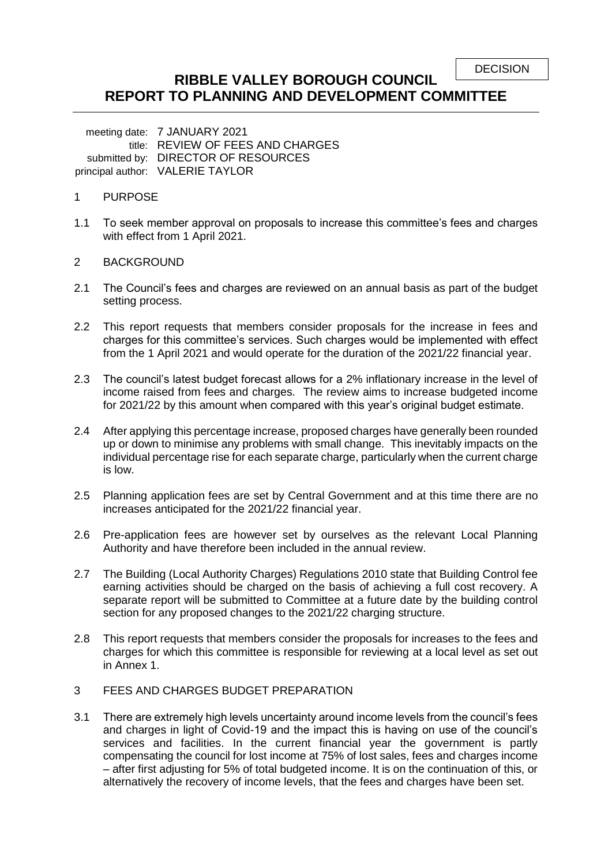```
DECISION
```
# **RIBBLE VALLEY BOROUGH COUNCIL REPORT TO PLANNING AND DEVELOPMENT COMMITTEE**

meeting date: 7 JANUARY 2021 title: REVIEW OF FEES AND CHARGES submitted by: DIRECTOR OF RESOURCES principal author: VALERIE TAYLOR

#### 1 PURPOSE

1.1 To seek member approval on proposals to increase this committee's fees and charges with effect from 1 April 2021.

#### 2 BACKGROUND

- 2.1 The Council's fees and charges are reviewed on an annual basis as part of the budget setting process.
- 2.2 This report requests that members consider proposals for the increase in fees and charges for this committee's services. Such charges would be implemented with effect from the 1 April 2021 and would operate for the duration of the 2021/22 financial year.
- 2.3 The council's latest budget forecast allows for a 2% inflationary increase in the level of income raised from fees and charges. The review aims to increase budgeted income for 2021/22 by this amount when compared with this year's original budget estimate.
- 2.4 After applying this percentage increase, proposed charges have generally been rounded up or down to minimise any problems with small change. This inevitably impacts on the individual percentage rise for each separate charge, particularly when the current charge is low.
- 2.5 Planning application fees are set by Central Government and at this time there are no increases anticipated for the 2021/22 financial year.
- 2.6 Pre-application fees are however set by ourselves as the relevant Local Planning Authority and have therefore been included in the annual review.
- 2.7 The Building (Local Authority Charges) Regulations 2010 state that Building Control fee earning activities should be charged on the basis of achieving a full cost recovery. A separate report will be submitted to Committee at a future date by the building control section for any proposed changes to the 2021/22 charging structure.
- 2.8 This report requests that members consider the proposals for increases to the fees and charges for which this committee is responsible for reviewing at a local level as set out in Annex 1.

## 3 FEES AND CHARGES BUDGET PREPARATION

3.1 There are extremely high levels uncertainty around income levels from the council's fees and charges in light of Covid-19 and the impact this is having on use of the council's services and facilities. In the current financial year the government is partly compensating the council for lost income at 75% of lost sales, fees and charges income – after first adjusting for 5% of total budgeted income. It is on the continuation of this, or alternatively the recovery of income levels, that the fees and charges have been set.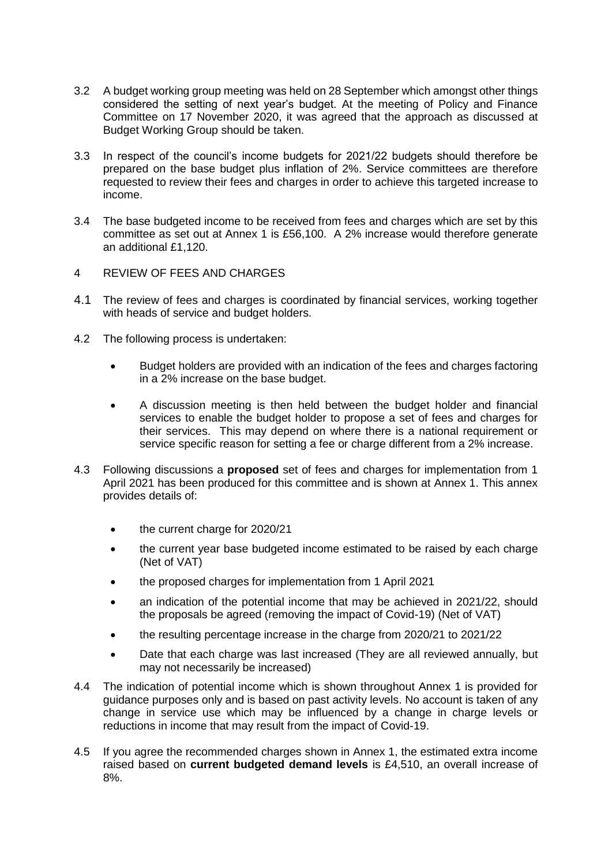- 3.2 A budget working group meeting was held on 28 September which amongst other things considered the setting of next year's budget. At the meeting of Policy and Finance Committee on 17 November 2020, it was agreed that the approach as discussed at Budget Working Group should be taken.
- 3.3 In respect of the council's income budgets for 2021/22 budgets should therefore be prepared on the base budget plus inflation of 2%. Service committees are therefore requested to review their fees and charges in order to achieve this targeted increase to income.
- 3.4 The base budgeted income to be received from fees and charges which are set by this committee as set out at Annex 1 is £56,100. A 2% increase would therefore generate an additional £1,120.
- 4 REVIEW OF FEES AND CHARGES
- 4.1 The review of fees and charges is coordinated by financial services, working together with heads of service and budget holders.
- 4.2 The following process is undertaken:
	- Budget holders are provided with an indication of the fees and charges factoring in a 2% increase on the base budget.
	- A discussion meeting is then held between the budget holder and financial services to enable the budget holder to propose a set of fees and charges for their services. This may depend on where there is a national requirement or service specific reason for setting a fee or charge different from a 2% increase.
- 4.3 Following discussions a **proposed** set of fees and charges for implementation from 1 April 2021 has been produced for this committee and is shown at Annex 1. This annex provides details of:
	- the current charge for 2020/21
	- the current year base budgeted income estimated to be raised by each charge (Net of VAT)
	- the proposed charges for implementation from 1 April 2021
	- an indication of the potential income that may be achieved in 2021/22, should the proposals be agreed (removing the impact of Covid-19) (Net of VAT)
	- the resulting percentage increase in the charge from 2020/21 to 2021/22
	- Date that each charge was last increased (They are all reviewed annually, but may not necessarily be increased)
- 4.4 The indication of potential income which is shown throughout Annex 1 is provided for guidance purposes only and is based on past activity levels. No account is taken of any change in service use which may be influenced by a change in charge levels or reductions in income that may result from the impact of Covid-19.
- 4.5 If you agree the recommended charges shown in Annex 1, the estimated extra income raised based on **current budgeted demand levels** is £4,510, an overall increase of 8%.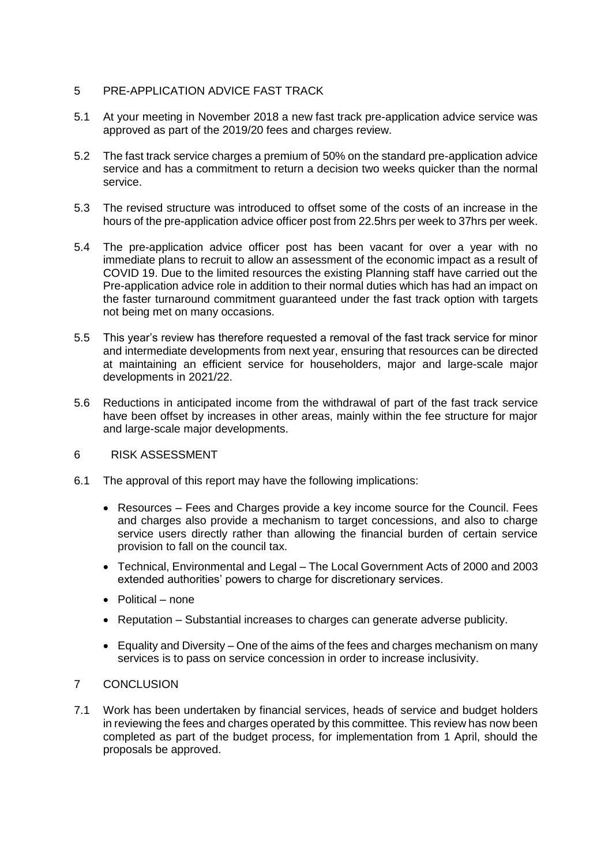## 5 PRE-APPLICATION ADVICE FAST TRACK

- 5.1 At your meeting in November 2018 a new fast track pre-application advice service was approved as part of the 2019/20 fees and charges review.
- 5.2 The fast track service charges a premium of 50% on the standard pre-application advice service and has a commitment to return a decision two weeks quicker than the normal service.
- 5.3 The revised structure was introduced to offset some of the costs of an increase in the hours of the pre-application advice officer post from 22.5hrs per week to 37hrs per week.
- 5.4 The pre-application advice officer post has been vacant for over a year with no immediate plans to recruit to allow an assessment of the economic impact as a result of COVID 19. Due to the limited resources the existing Planning staff have carried out the Pre-application advice role in addition to their normal duties which has had an impact on the faster turnaround commitment guaranteed under the fast track option with targets not being met on many occasions.
- 5.5 This year's review has therefore requested a removal of the fast track service for minor and intermediate developments from next year, ensuring that resources can be directed at maintaining an efficient service for householders, major and large-scale major developments in 2021/22.
- 5.6 Reductions in anticipated income from the withdrawal of part of the fast track service have been offset by increases in other areas, mainly within the fee structure for major and large-scale major developments.
- 6 RISK ASSESSMENT
- 6.1 The approval of this report may have the following implications:
	- Resources Fees and Charges provide a key income source for the Council. Fees and charges also provide a mechanism to target concessions, and also to charge service users directly rather than allowing the financial burden of certain service provision to fall on the council tax.
	- Technical, Environmental and Legal The Local Government Acts of 2000 and 2003 extended authorities' powers to charge for discretionary services.
	- Political none
	- Reputation Substantial increases to charges can generate adverse publicity.
	- $\bullet$  Equality and Diversity One of the aims of the fees and charges mechanism on many services is to pass on service concession in order to increase inclusivity.

# 7 CONCLUSION

7.1 Work has been undertaken by financial services, heads of service and budget holders in reviewing the fees and charges operated by this committee. This review has now been completed as part of the budget process, for implementation from 1 April, should the proposals be approved.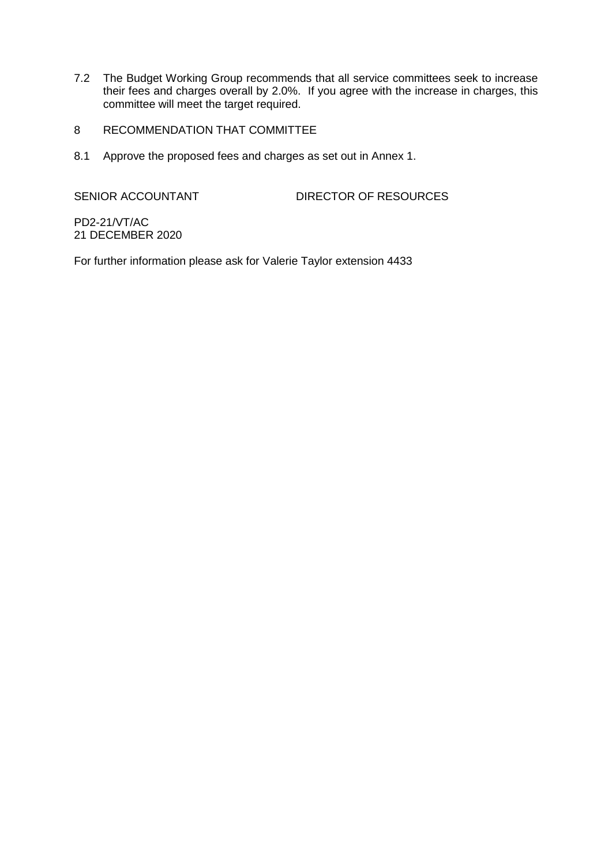- 7.2 The Budget Working Group recommends that all service committees seek to increase their fees and charges overall by 2.0%. If you agree with the increase in charges, this committee will meet the target required.
- 8 RECOMMENDATION THAT COMMITTEE
- 8.1 Approve the proposed fees and charges as set out in Annex 1.

SENIOR ACCOUNTANT DIRECTOR OF RESOURCES

PD2-21/VT/AC 21 DECEMBER 2020

For further information please ask for Valerie Taylor extension 4433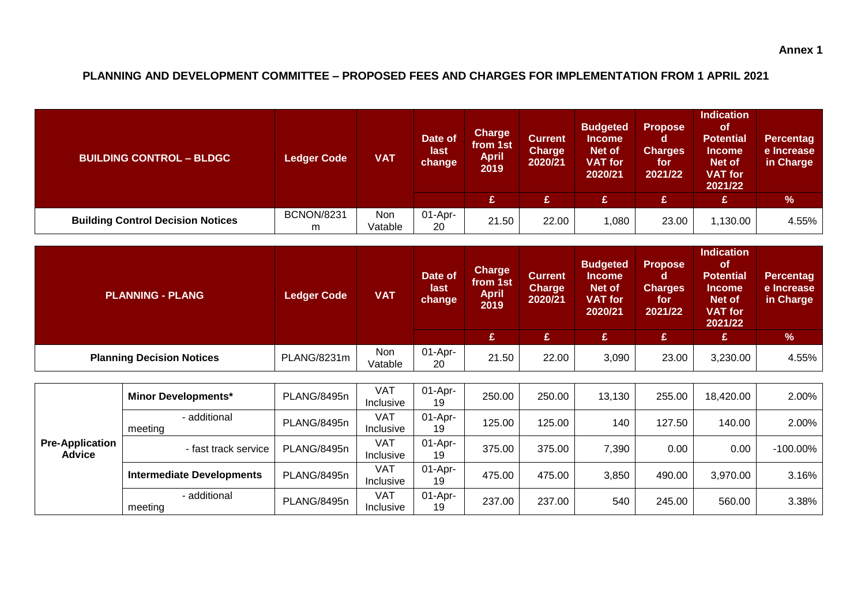# **PLANNING AND DEVELOPMENT COMMITTEE – PROPOSED FEES AND CHARGES FOR IMPLEMENTATION FROM 1 APRIL 2021**

| <b>BUILDING CONTROL - BLDGC</b>          | <b>Ledger Code</b>     | <b>VAT</b>     | Date of<br>last<br>change | <b>Charge</b><br>from 1st<br><b>April</b><br>2019 | <b>Current</b><br><b>Charge</b><br>2020/21 | <b>Budgeted</b><br><b>Income</b><br>Net of<br><b>VAT</b> for<br>2020/21 | <b>Propose</b><br>O<br><b>Charges</b><br>for<br>2021/22 | <b>Indication</b><br><b>of</b><br><b>Potential</b><br><b>Income</b><br>Net of<br><b>VAT</b> for<br>2021/22 | <b>Percentag</b><br>e Increase<br>in Charge |
|------------------------------------------|------------------------|----------------|---------------------------|---------------------------------------------------|--------------------------------------------|-------------------------------------------------------------------------|---------------------------------------------------------|------------------------------------------------------------------------------------------------------------|---------------------------------------------|
|                                          |                        |                |                           | £                                                 | £                                          | <b>G</b>                                                                | £                                                       | £                                                                                                          | %                                           |
| <b>Building Control Decision Notices</b> | <b>BCNON/8231</b><br>m | Non<br>Vatable | $01-Apr-$<br>20           | 21.50                                             | 22.00                                      | 080, ا                                                                  | 23.00                                                   | 1,130.00                                                                                                   | $4.55\%$                                    |

| <b>PLANNING - PLANG</b>          | <b>Ledger Code</b> | <b>VAT</b>     | Date of<br>last<br>change | <b>Charge</b><br>from 1st<br><b>April</b><br>2019 | <b>Current</b><br><b>Charge</b><br>2020/21 | <b>Budgeted</b><br><b>Income</b><br>Net of<br><b>VAT for</b><br>2020/21 | <b>Propose</b><br>d<br><b>Charges</b><br>for<br>2021/22 | <b>Indication</b><br>οf<br><b>Potential</b><br><b>Income</b><br>Net of<br><b>VAT for</b><br>2021/22 | <b>Percentag</b><br>e Increase<br>in Charge |
|----------------------------------|--------------------|----------------|---------------------------|---------------------------------------------------|--------------------------------------------|-------------------------------------------------------------------------|---------------------------------------------------------|-----------------------------------------------------------------------------------------------------|---------------------------------------------|
|                                  |                    |                |                           | £                                                 | ¢                                          | £.                                                                      |                                                         | £                                                                                                   | $\frac{9}{6}$                               |
| <b>Planning Decision Notices</b> | PLANG/8231m        | Non<br>Vatable | $01-Apr-$<br>20           | 21.50                                             | 22.00                                      | 3,090                                                                   | 23.00                                                   | 3,230.00                                                                                            | 4.55%                                       |

| <b>Pre-Application</b><br><b>Advice</b> | <b>Minor Developments*</b>       | PLANG/8495n | VAT<br>Inclusive        | $01-Apr-$<br>19  | 250.00 | 250.00 | 13,130 | 255.00 | 18,420.00 | $2.00\%$    |
|-----------------------------------------|----------------------------------|-------------|-------------------------|------------------|--------|--------|--------|--------|-----------|-------------|
|                                         | - additional<br>meeting          | PLANG/8495n | VAT<br>Inclusive        | $01-Apr-$<br>19  | 125.00 | 125.00 | 140    | 127.50 | 140.00    | 2.00%       |
|                                         | - fast track service             | PLANG/8495n | <b>VAT</b><br>Inclusive | $01$ -Apr-<br>19 | 375.00 | 375.00 | 7,390  | 0.00   | 0.00      | $-100.00\%$ |
|                                         | <b>Intermediate Developments</b> | PLANG/8495n | <b>VAT</b><br>Inclusive | $01-Apr-$<br>19  | 475.00 | 475.00 | 3,850  | 490.00 | 3,970.00  | 3.16%       |
|                                         | - additional<br>meeting          | PLANG/8495n | <b>VAT</b><br>Inclusive | $01-Apr-$<br>19  | 237.00 | 237.00 | 540    | 245.00 | 560.00    | 3.38%       |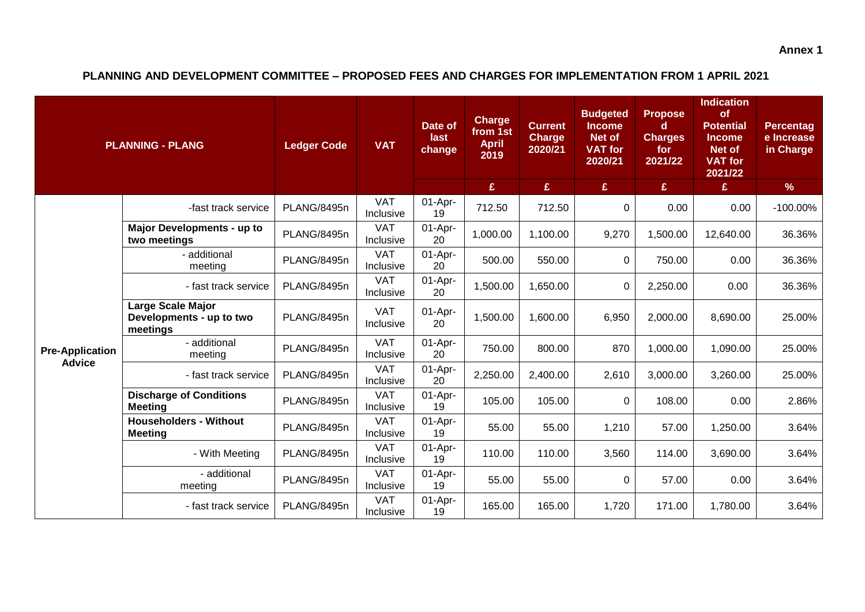**PLANNING AND DEVELOPMENT COMMITTEE – PROPOSED FEES AND CHARGES FOR IMPLEMENTATION FROM 1 APRIL 2021**

| <b>PLANNING - PLANG</b> |                                                           | <b>Ledger Code</b> | <b>VAT</b>              | Date of<br>last<br>change | <b>Charge</b><br>from 1st<br><b>April</b><br>2019 | <b>Current</b><br><b>Charge</b><br>2020/21 | <b>Budgeted</b><br><b>Income</b><br>Net of<br><b>VAT</b> for<br>2020/21 | <b>Propose</b><br>d.<br><b>Charges</b><br>for<br>2021/22 | <b>Indication</b><br>of<br><b>Potential</b><br><b>Income</b><br>Net of<br><b>VAT for</b><br>2021/22 | <b>Percentag</b><br>e Increase<br>in Charge |
|-------------------------|-----------------------------------------------------------|--------------------|-------------------------|---------------------------|---------------------------------------------------|--------------------------------------------|-------------------------------------------------------------------------|----------------------------------------------------------|-----------------------------------------------------------------------------------------------------|---------------------------------------------|
|                         |                                                           |                    |                         |                           | £                                                 | $\mathbf{E}$                               | $\mathbf{E}$                                                            | E                                                        | £                                                                                                   | $\%$                                        |
|                         | -fast track service                                       | PLANG/8495n        | <b>VAT</b><br>Inclusive | 01-Apr-<br>19             | 712.50                                            | 712.50                                     | 0                                                                       | 0.00                                                     | 0.00                                                                                                | $-100.00\%$                                 |
|                         | <b>Major Developments - up to</b><br>two meetings         | PLANG/8495n        | <b>VAT</b><br>Inclusive | 01-Apr-<br>20             | 1,000.00                                          | 1,100.00                                   | 9,270                                                                   | 1,500.00                                                 | 12,640.00                                                                                           | 36.36%                                      |
|                         | - additional<br>meeting                                   | PLANG/8495n        | <b>VAT</b><br>Inclusive | 01-Apr-<br>20             | 500.00                                            | 550.00                                     | 0                                                                       | 750.00                                                   | 0.00                                                                                                | 36.36%                                      |
|                         | - fast track service                                      | PLANG/8495n        | <b>VAT</b><br>Inclusive | 01-Apr-<br>20             | 1,500.00                                          | 1,650.00                                   | $\mathbf 0$                                                             | 2,250.00                                                 | 0.00                                                                                                | 36.36%                                      |
|                         | Large Scale Major<br>Developments - up to two<br>meetings | PLANG/8495n        | <b>VAT</b><br>Inclusive | 01-Apr-<br>20             | 1,500.00                                          | 1,600.00                                   | 6,950                                                                   | 2,000.00                                                 | 8,690.00                                                                                            | 25.00%                                      |
| <b>Pre-Application</b>  | - additional<br>meeting                                   | PLANG/8495n        | <b>VAT</b><br>Inclusive | 01-Apr-<br>20             | 750.00                                            | 800.00                                     | 870                                                                     | 1,000.00                                                 | 1,090.00                                                                                            | 25.00%                                      |
| <b>Advice</b>           | - fast track service                                      | PLANG/8495n        | <b>VAT</b><br>Inclusive | 01-Apr-<br>20             | 2,250.00                                          | 2,400.00                                   | 2,610                                                                   | 3,000.00                                                 | 3,260.00                                                                                            | 25.00%                                      |
|                         | <b>Discharge of Conditions</b><br><b>Meeting</b>          | PLANG/8495n        | <b>VAT</b><br>Inclusive | 01-Apr-<br>19             | 105.00                                            | 105.00                                     | $\Omega$                                                                | 108.00                                                   | 0.00                                                                                                | 2.86%                                       |
|                         | <b>Householders - Without</b><br><b>Meeting</b>           | PLANG/8495n        | <b>VAT</b><br>Inclusive | 01-Apr-<br>19             | 55.00                                             | 55.00                                      | 1,210                                                                   | 57.00                                                    | 1,250.00                                                                                            | 3.64%                                       |
|                         | - With Meeting                                            | PLANG/8495n        | <b>VAT</b><br>Inclusive | 01-Apr-<br>19             | 110.00                                            | 110.00                                     | 3,560                                                                   | 114.00                                                   | 3,690.00                                                                                            | 3.64%                                       |
|                         | - additional<br>meeting                                   | PLANG/8495n        | <b>VAT</b><br>Inclusive | 01-Apr-<br>19             | 55.00                                             | 55.00                                      | 0                                                                       | 57.00                                                    | 0.00                                                                                                | 3.64%                                       |
|                         | - fast track service                                      | PLANG/8495n        | <b>VAT</b><br>Inclusive | 01-Apr-<br>19             | 165.00                                            | 165.00                                     | 1,720                                                                   | 171.00                                                   | 1,780.00                                                                                            | 3.64%                                       |